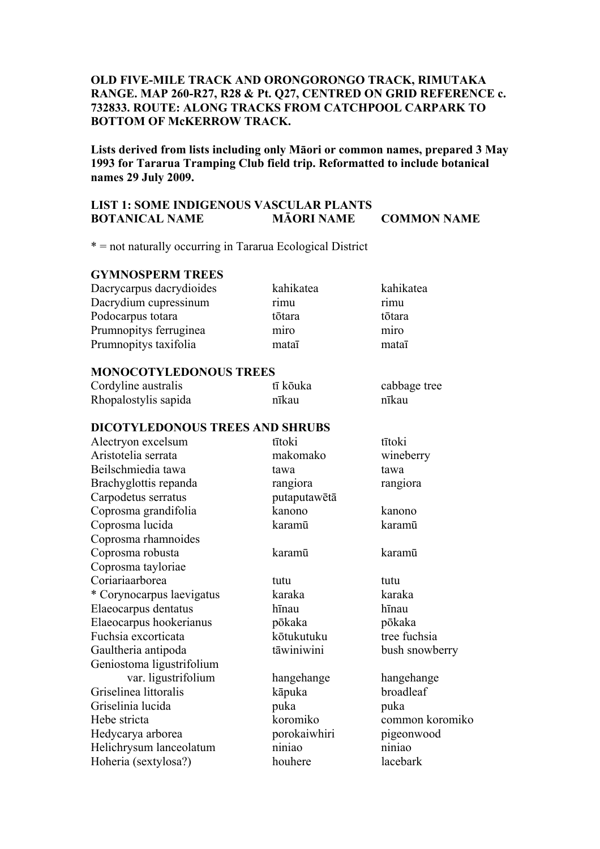# **OLD FIVE-MILE TRACK AND ORONGORONGO TRACK, RIMUTAKA RANGE. MAP 260-R27, R28 & Pt. Q27, CENTRED ON GRID REFERENCE c. 732833. ROUTE: ALONG TRACKS FROM CATCHPOOL CARPARK TO BOTTOM OF McKERROW TRACK.**

**Lists derived from lists including only Māori or common names, prepared 3 May 1993 for Tararua Tramping Club field trip. Reformatted to include botanical names 29 July 2009.** 

# **LIST 1: SOME INDIGENOUS VASCULAR PLANTS BOTANICAL NAME MĀORI NAME COMMON NAME**

\* = not naturally occurring in Tararua Ecological District

## **GYMNOSPERM TREES**

| Dacrycarpus dacrydioides | kahikatea | kahikatea |
|--------------------------|-----------|-----------|
| Dacrydium cupressinum    | rimu      | rimu      |
| Podocarpus totara        | tōtara    | tōtara    |
| Prumnopitys ferruginea   | miro      | miro      |
| Prumnopitys taxifolia    | mataī     | mataī     |

#### **MONOCOTYLEDONOUS TREES**

| Cordyline australis  | tī kōuka | cabbage tree |
|----------------------|----------|--------------|
| Rhopalostylis sapida | nīkau    | nīkau        |

#### **DICOTYLEDONOUS TREES AND SHRUBS**

| Alectryon excelsum        | tītoki       | tītoki          |
|---------------------------|--------------|-----------------|
| Aristotelia serrata       | makomako     | wineberry       |
| Beilschmiedia tawa        | tawa         | tawa            |
| Brachyglottis repanda     | rangiora     | rangiora        |
| Carpodetus serratus       | putaputawētā |                 |
| Coprosma grandifolia      | kanono       | kanono          |
| Coprosma lucida           | karamū       | karamū          |
| Coprosma rhamnoides       |              |                 |
| Coprosma robusta          | karamū       | karamū          |
| Coprosma tayloriae        |              |                 |
| Coriariaarborea           | tutu         | tutu            |
| * Corynocarpus laevigatus | karaka       | karaka          |
| Elaeocarpus dentatus      | hīnau        | hīnau           |
| Elaeocarpus hookerianus   | pōkaka       | pōkaka          |
| Fuchsia excorticata       | kōtukutuku   | tree fuchsia    |
| Gaultheria antipoda       | tāwiniwini   | bush snowberry  |
| Geniostoma ligustrifolium |              |                 |
| var. ligustrifolium       | hangehange   | hangehange      |
| Griselinea littoralis     | kāpuka       | broadleaf       |
| Griselinia lucida         | puka         | puka            |
| Hebe stricta              | koromiko     | common koromiko |
| Hedycarya arborea         | porokaiwhiri | pigeonwood      |
| Helichrysum lanceolatum   | niniao       | niniao          |
| Hoheria (sextylosa?)      | houhere      | lacebark        |
|                           |              |                 |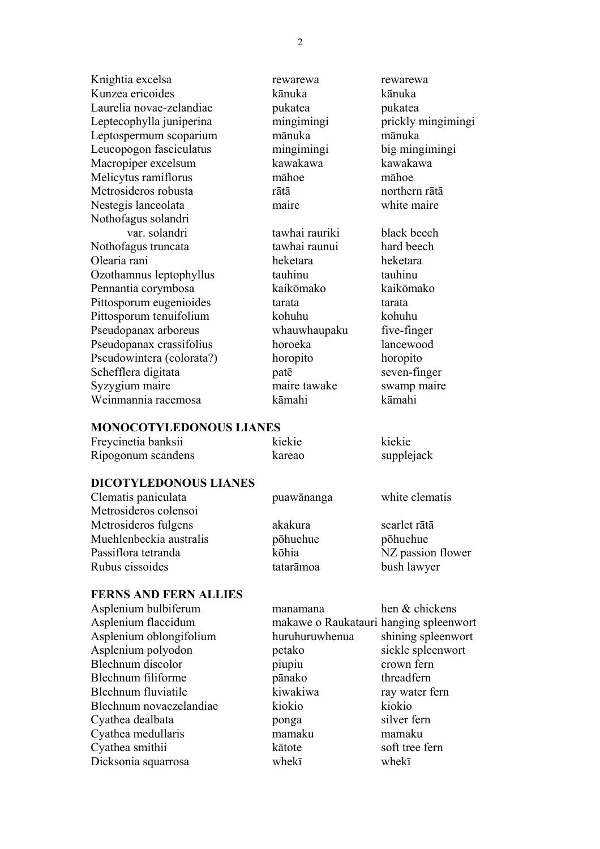Knightia excelsa **rewarewa** rewarewa rewarewa Kunzea ericoides kānuka kānuka Laurelia novae-zelandiae pukatea pukatea pukatea pukatea pukatea pukatea pukatea pukatea pukatea pukatea pukatea pukatea pukatea pukatea pukatea pukatea pukatea pukatea pukatea pukatea pukatea pukatea pukatea pukatea pukat Leptecophylla juniperina mingimingi prickly mingimingi Leptospermum scoparium mānuka mānuka Leucopogon fasciculatus mingimingi big mingimingi Macropiper excelsum kawakawa kawakawa kawakawa Melicytus ramiflorus māhoe māhoe Metrosideros robusta rātā northern rātā Nestegis lanceolata maire white maire Nothofagus solandri var. solandri tawhai rauriki black beech Nothofagus truncata tawhai raunui hard beech Olearia rani heketara heketara Ozothamnus leptophyllus tauhinu tauhinu Pennantia corymbosa kaikōmako kaikōmako Pittosporum eugenioides tarata tarata tarata Pittosporum tenuifolium kohuhu kohuhu kohuhu Pseudopanax arboreus whauwhaupaku five-finger Pseudopanax crassifolius horoeka lancewood Pseudowintera (colorata?) horopito horopito Schefflera digitata **patē** seven-finger Syzygium maire maire maire tawake swamp maire Weinmannia racemosa kāmahi kāmahi

#### **MONOCOTYLEDONOUS LIANES**

| Freycinetia banksii | kiekie | kiekie     |
|---------------------|--------|------------|
| Ripogonum scandens  | kareao | supplejack |

# **DICOTYLEDONOUS LIANES**

| Clematis paniculata     | puawānanga | white clematis    |
|-------------------------|------------|-------------------|
| Metrosideros colensoi   |            |                   |
| Metrosideros fulgens    | akakura    | scarlet rātā      |
| Muehlenbeckia australis | põhuehue   | põhuehue          |
| Passiflora tetranda     | kōhia      | NZ passion flower |
| Rubus cissoides         | tatarāmoa  | bush lawyer       |

## **FERNS AND FERN ALLIES**

| manamana       | hen & chickens                         |
|----------------|----------------------------------------|
|                |                                        |
| huruhuruwhenua | shining spleenwort                     |
| petako         | sickle spleenwort                      |
| piupiu         | crown fern                             |
| pānako         | threadfern                             |
| kiwakiwa       | ray water fern                         |
| kiokio         | kiokio                                 |
| ponga          | silver fern                            |
| mamaku         | mamaku                                 |
| kātote         | soft tree fern                         |
| whekī          | whekī                                  |
|                | makawe o Raukatauri hanging spleenwort |

2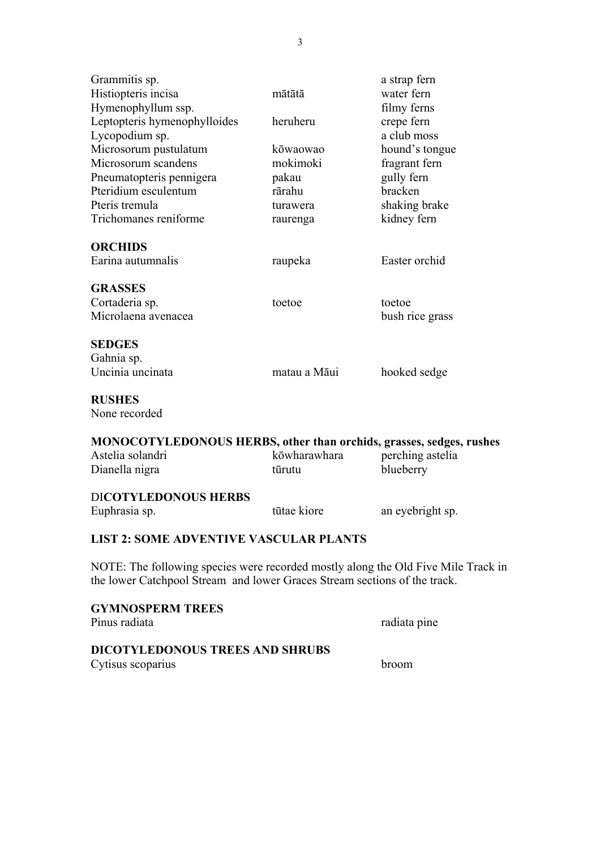| Grammitis sp.                                                                                                                                                  |              | a strap fern     |
|----------------------------------------------------------------------------------------------------------------------------------------------------------------|--------------|------------------|
| Histiopteris incisa                                                                                                                                            | mātātā       | water fern       |
| Hymenophyllum ssp.                                                                                                                                             |              | filmy ferns      |
| Leptopteris hymenophylloides                                                                                                                                   | heruheru     | crepe fern       |
| Lycopodium sp.                                                                                                                                                 |              | a club moss      |
| Microsorum pustulatum                                                                                                                                          | kōwaowao     | hound's tongue   |
| Microsorum scandens                                                                                                                                            | mokimoki     | fragrant fern    |
| Pneumatopteris pennigera                                                                                                                                       | pakau        | gully fern       |
| Pteridium esculentum                                                                                                                                           | rārahu       | bracken          |
| Pteris tremula                                                                                                                                                 | turawera     | shaking brake    |
| Trichomanes reniforme                                                                                                                                          | raurenga     | kidney fern      |
| <b>ORCHIDS</b>                                                                                                                                                 |              |                  |
| Earina autumnalis                                                                                                                                              | raupeka      | Easter orchid    |
| <b>GRASSES</b>                                                                                                                                                 |              |                  |
| Cortaderia sp.                                                                                                                                                 | toetoe       | toetoe           |
| Microlaena avenacea                                                                                                                                            |              | bush rice grass  |
| <b>SEDGES</b>                                                                                                                                                  |              |                  |
| Gahnia sp.                                                                                                                                                     |              |                  |
| Uncinia uncinata                                                                                                                                               | matau a Māui | hooked sedge     |
| <b>RUSHES</b>                                                                                                                                                  |              |                  |
| None recorded                                                                                                                                                  |              |                  |
| MONOCOTYLEDONOUS HERBS, other than orchids, grasses, sedges, rushes                                                                                            |              |                  |
| Astelia solandri                                                                                                                                               | kōwharawhara | perching astelia |
| Dianella nigra                                                                                                                                                 | tūrutu       | blueberry        |
| <b>DICOTYLEDONOUS HERBS</b>                                                                                                                                    |              |                  |
| Euphrasia sp.                                                                                                                                                  | tūtae kiore  | an eyebright sp. |
| <b>LIST 2: SOME ADVENTIVE VASCULAR PLANTS</b>                                                                                                                  |              |                  |
| NOTE: The following species were recorded mostly along the Old Five Mile Track in<br>the lower Catchpool Stream and lower Graces Stream sections of the track. |              |                  |
| <b>GYMNOSPERM TREES</b>                                                                                                                                        |              |                  |
| Pinus radiata                                                                                                                                                  |              | radiata pine     |
|                                                                                                                                                                |              |                  |

# **DICOTYLEDONOUS TREES AND SHRUBS**

Cytisus scoparius broom